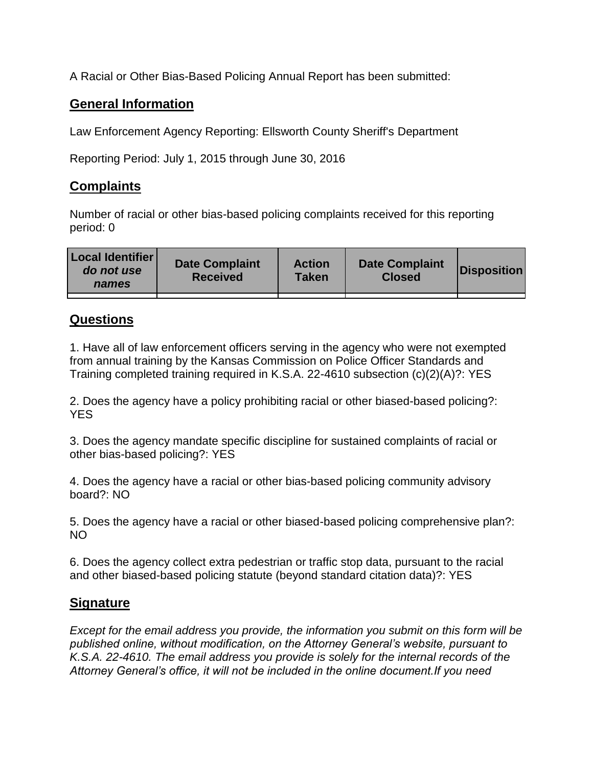A Racial or Other Bias-Based Policing Annual Report has been submitted:

## **General Information**

Law Enforcement Agency Reporting: Ellsworth County Sheriff's Department

Reporting Period: July 1, 2015 through June 30, 2016

## **Complaints**

Number of racial or other bias-based policing complaints received for this reporting period: 0

| <b>Local Identifier</b><br>do not use<br>names | <b>Date Complaint</b><br><b>Received</b> | <b>Action</b><br><b>Taken</b> | <b>Date Complaint</b><br><b>Closed</b> | Disposition |
|------------------------------------------------|------------------------------------------|-------------------------------|----------------------------------------|-------------|
|                                                |                                          |                               |                                        |             |

## **Questions**

1. Have all of law enforcement officers serving in the agency who were not exempted from annual training by the Kansas Commission on Police Officer Standards and Training completed training required in K.S.A. 22-4610 subsection (c)(2)(A)?: YES

2. Does the agency have a policy prohibiting racial or other biased-based policing?: YES

3. Does the agency mandate specific discipline for sustained complaints of racial or other bias-based policing?: YES

4. Does the agency have a racial or other bias-based policing community advisory board?: NO

5. Does the agency have a racial or other biased-based policing comprehensive plan?: NO

6. Does the agency collect extra pedestrian or traffic stop data, pursuant to the racial and other biased-based policing statute (beyond standard citation data)?: YES

## **Signature**

*Except for the email address you provide, the information you submit on this form will be published online, without modification, on the Attorney General's website, pursuant to K.S.A. 22-4610. The email address you provide is solely for the internal records of the Attorney General's office, it will not be included in the online document.If you need*